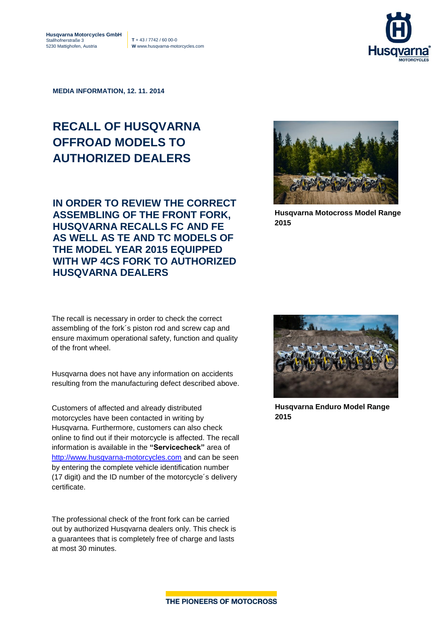5230 Mattighofen, Austria **W** www.husqvarna-motorcycles.com



**MEDIA INFORMATION, 12. 11. 2014**

## **RECALL OF HUSQVARNA OFFROAD MODELS TO AUTHORIZED DEALERS**

**IN ORDER TO REVIEW THE CORRECT ASSEMBLING OF THE FRONT FORK, HUSQVARNA RECALLS FC AND FE AS WELL AS TE AND TC MODELS OF THE MODEL YEAR 2015 EQUIPPED WITH WP 4CS FORK TO AUTHORIZED HUSQVARNA DEALERS**

The recall is necessary in order to check the correct assembling of the fork´s piston rod and screw cap and ensure maximum operational safety, function and quality of the front wheel.

Husqvarna does not have any information on accidents resulting from the manufacturing defect described above.

Customers of affected and already distributed motorcycles have been contacted in writing by Husqvarna. Furthermore, customers can also check online to find out if their motorcycle is affected. The recall information is available in the **"Servicecheck"** area of [http://www.husqvarna-motorcycles.com](http://www.husqvarna-motorcycles.com/) and can be seen by entering the complete vehicle identification number (17 digit) and the ID number of the motorcycle´s delivery certificate.

The professional check of the front fork can be carried out by authorized Husqvarna dealers only. This check is a guarantees that is completely free of charge and lasts at most 30 minutes.



**Husqvarna Motocross Model Range 2015**



**Husqvarna Enduro Model Range 2015**